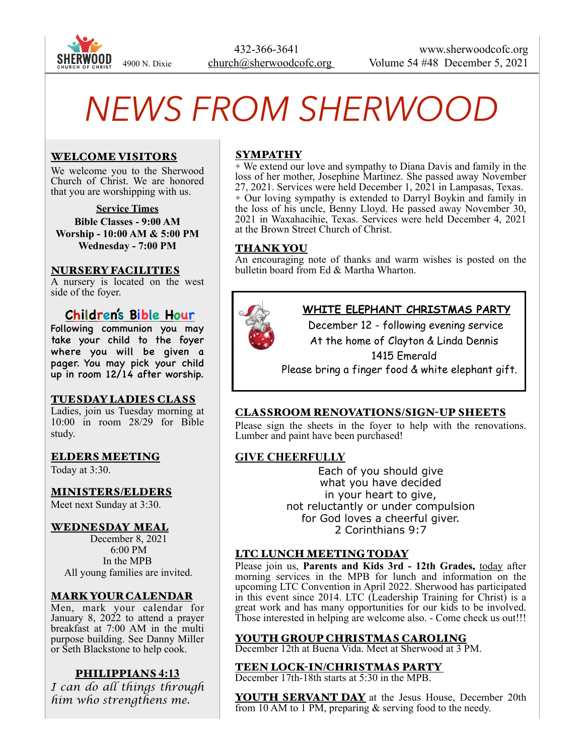

# *NEWS FROM SHERWOOD*

### WELCOME VISITORS

We welcome you to the Sherwood Church of Christ. We are honored that you are worshipping with us.

**Service Times Bible Classes - 9:00 AM Worship - 10:00 AM & 5:00 PM Wednesday - 7:00 PM** 

#### NURSERY FACILITIES

A nursery is located on the west side of the foyer.

# **Children's Bible Hour**

Following communion you may take your child to the foyer where you will be given a pager. You may pick your child up in room 12/14 after worship.

#### TUESDAY LADIES CLASS

Ladies, join us Tuesday morning at 10:00 in room 28/29 for Bible study.

#### ELDERS MEETING

Today at 3:30.

#### MINISTERS/ELDERS

Meet next Sunday at 3:30.

#### WEDNESDAY MEAL

 December 8, 2021 6:00 PM In the MPB All young families are invited.

#### MARK YOUR CALENDAR

Men, mark your calendar for January 8, 2022 to attend a prayer breakfast at 7:00 AM in the multi purpose building. See Danny Miller or Seth Blackstone to help cook.

#### PHILIPPIANS **4:13**

*I can do all things through him who strengthens me.* 

# SYMPATHY

✦ We extend our love and sympathy to Diana Davis and family in the loss of her mother, Josephine Martinez. She passed away November 27, 2021. Services were held December 1, 2021 in Lampasas, Texas. ✦ Our loving sympathy is extended to Darryl Boykin and family in the loss of his uncle, Benny Lloyd. He passed away November 30, 2021 in Waxahacihie, Texas. Services were held December 4, 2021 at the Brown Street Church of Christ.

#### THANK YOU

An encouraging note of thanks and warm wishes is posted on the bulletin board from Ed & Martha Wharton.



# **WHITE ELEPHANT CHRISTMAS PARTY**

 December 12 - following evening service At the home of Clayton & Linda Dennis

1415 Emerald

Please bring a finger food & white elephant gift.

#### CLASSROOM RENOVATIONS/SIGN-UP SHEETS

Please sign the sheets in the foyer to help with the renovations. Lumber and paint have been purchased!

# **GIVE CHEERFULLY**

Each of you should give what you have decided in your heart to give, not reluctantly or under compulsion for God loves a cheerful giver. 2 Corinthians 9:7

#### LTC LUNCH MEETING TODAY

Please join us, **Parents and Kids 3rd - 12th Grades,** today after morning services in the MPB for lunch and information on the upcoming LTC Convention in April 2022. Sherwood has participated in this event since 2014. LTC (Leadership Training for Christ) is a great work and has many opportunities for our kids to be involved. Those interested in helping are welcome also. - Come check us out!!!

#### YOUTH GROUP CHRISTMAS CAROLING

December 12th at Buena Vida. Meet at Sherwood at 3 PM.

#### TEEN LOCK-IN/CHRISTMAS PARTY

December 17th-18th starts at 5:30 in the MPB.

**YOUTH SERVANT DAY** at the Jesus House, December 20th from 10 AM to 1 PM, preparing & serving food to the needy.